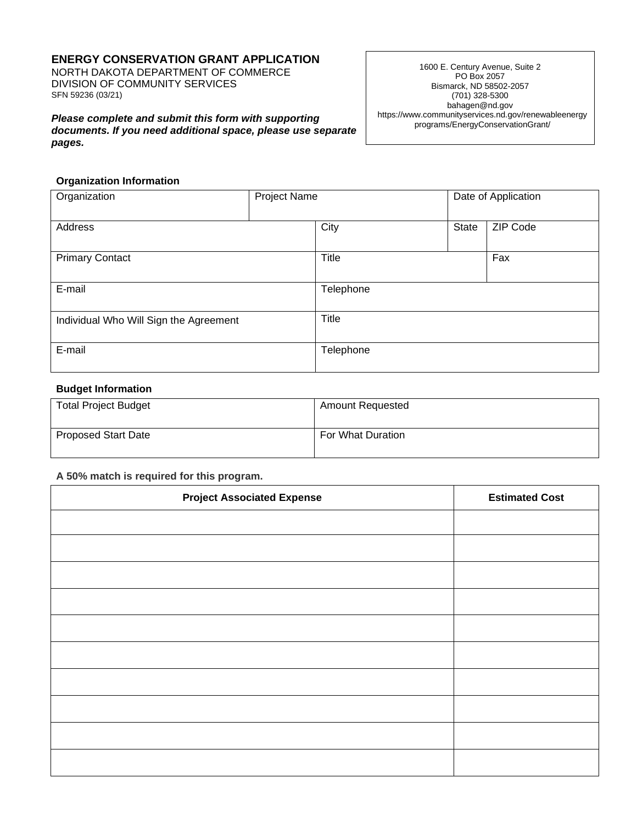# **ENERGY CONSERVATION GRANT APPLICATION**

NORTH DAKOTA DEPARTMENT OF COMMERCE DIVISION OF COMMUNITY SERVICES SFN 59236 (03/21)

*Please complete and submit this form with supporting documents. If you need additional space, please use separate pages.*

1600 E. Century Avenue, Suite 2 PO Box 2057 Bismarck, ND 58502-2057 (701) 328-5300 bahagen@nd.gov https://www.communityservices.nd.gov/renewableenergy programs/EnergyConservationGrant/

#### **Organization Information**

| Organization                           | Project Name |              |       | Date of Application |
|----------------------------------------|--------------|--------------|-------|---------------------|
| Address                                |              | City         | State | ZIP Code            |
| <b>Primary Contact</b>                 |              | Title        |       | Fax                 |
| E-mail                                 |              | Telephone    |       |                     |
| Individual Who Will Sign the Agreement |              | <b>Title</b> |       |                     |
| E-mail                                 |              | Telephone    |       |                     |

## **Budget Information**

| <b>Total Project Budget</b> | <b>Amount Requested</b> |
|-----------------------------|-------------------------|
| <b>Proposed Start Date</b>  | For What Duration       |

## **A 50% match is required for this program.**

| <b>Project Associated Expense</b> | <b>Estimated Cost</b> |
|-----------------------------------|-----------------------|
|                                   |                       |
|                                   |                       |
|                                   |                       |
|                                   |                       |
|                                   |                       |
|                                   |                       |
|                                   |                       |
|                                   |                       |
|                                   |                       |
|                                   |                       |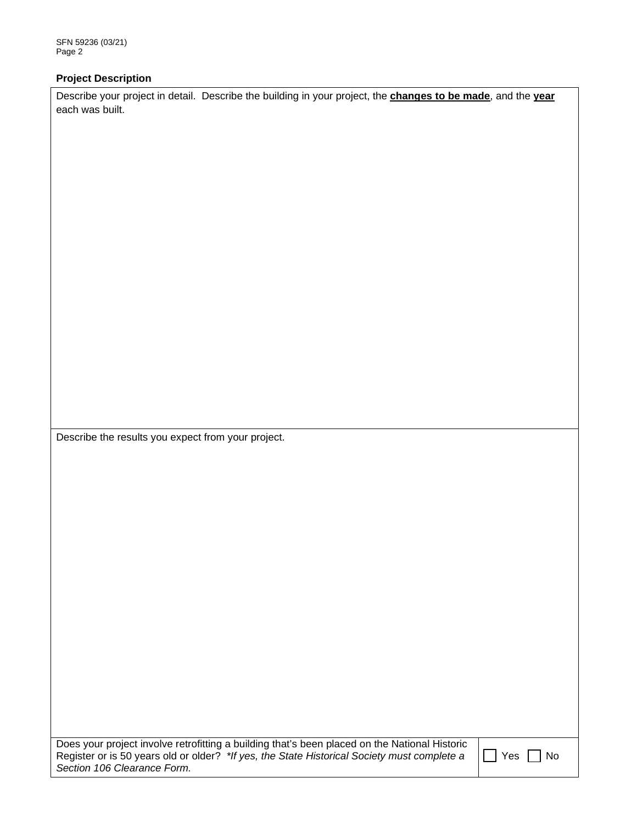## **Project Description**

Describe your project in detail. Describe the building in your project, the **changes to be made**, and the **year**  each was built.

Describe the results you expect from your project.

Does your project involve retrofitting a building that's been placed on the National Historic Register or is 50 years old or older? *\*If yes, the State Historical Society must complete a Section 106 Clearance Form.*

 $\Box$  Yes  $\Box$  No